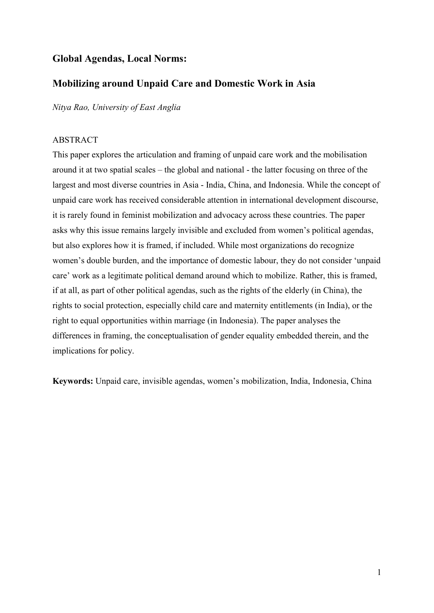## **Global Agendas, Local Norms:**

## **Mobilizing around Unpaid Care and Domestic Work in Asia**

*Nitya Rao, University of East Anglia*

## ABSTRACT

This paper explores the articulation and framing of unpaid care work and the mobilisation around it at two spatial scales – the global and national - the latter focusing on three of the largest and most diverse countries in Asia - India, China, and Indonesia. While the concept of unpaid care work has received considerable attention in international development discourse, it is rarely found in feminist mobilization and advocacy across these countries. The paper asks why this issue remains largely invisible and excluded from women's political agendas, but also explores how it is framed, if included. While most organizations do recognize women's double burden, and the importance of domestic labour, they do not consider 'unpaid care' work as a legitimate political demand around which to mobilize. Rather, this is framed, if at all, as part of other political agendas, such as the rights of the elderly (in China), the rights to social protection, especially child care and maternity entitlements (in India), or the right to equal opportunities within marriage (in Indonesia). The paper analyses the differences in framing, the conceptualisation of gender equality embedded therein, and the implications for policy.

**Keywords:** Unpaid care, invisible agendas, women's mobilization, India, Indonesia, China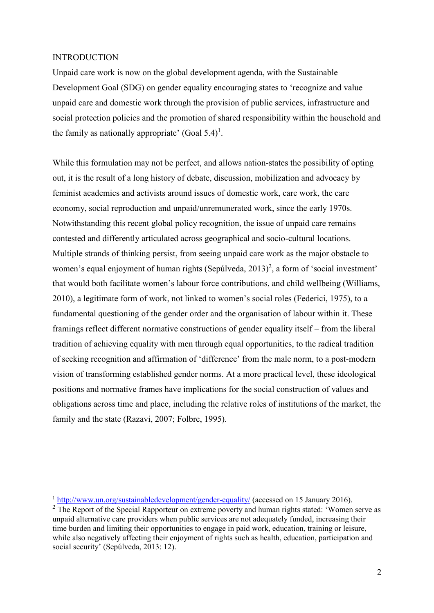#### INTRODUCTION

<u>.</u>

Unpaid care work is now on the global development agenda, with the Sustainable Development Goal (SDG) on gender equality encouraging states to 'recognize and value unpaid care and domestic work through the provision of public services, infrastructure and social protection policies and the promotion of shared responsibility within the household and the family as nationally appropriate' (Goal  $5.4$ )<sup>1</sup>.

While this formulation may not be perfect, and allows nation-states the possibility of opting out, it is the result of a long history of debate, discussion, mobilization and advocacy by feminist academics and activists around issues of domestic work, care work, the care economy, social reproduction and unpaid/unremunerated work, since the early 1970s. Notwithstanding this recent global policy recognition, the issue of unpaid care remains contested and differently articulated across geographical and socio-cultural locations. Multiple strands of thinking persist, from seeing unpaid care work as the major obstacle to women's equal enjoyment of human rights (Sepúlveda, 2013)<sup>2</sup>, a form of 'social investment' that would both facilitate women's labour force contributions, and child wellbeing (Williams, 2010), a legitimate form of work, not linked to women's social roles (Federici, 1975), to a fundamental questioning of the gender order and the organisation of labour within it. These framings reflect different normative constructions of gender equality itself – from the liberal tradition of achieving equality with men through equal opportunities, to the radical tradition of seeking recognition and affirmation of 'difference' from the male norm, to a post-modern vision of transforming established gender norms. At a more practical level, these ideological positions and normative frames have implications for the social construction of values and obligations across time and place, including the relative roles of institutions of the market, the family and the state (Razavi, 2007; Folbre, 1995).

<sup>&</sup>lt;sup>1</sup> <http://www.un.org/sustainabledevelopment/gender-equality/> (accessed on 15 January 2016).

<sup>&</sup>lt;sup>2</sup> The Report of the Special Rapporteur on extreme poverty and human rights stated: 'Women serve as unpaid alternative care providers when public services are not adequately funded, increasing their time burden and limiting their opportunities to engage in paid work, education, training or leisure, while also negatively affecting their enjoyment of rights such as health, education, participation and social security' (Sepúlveda, 2013: 12).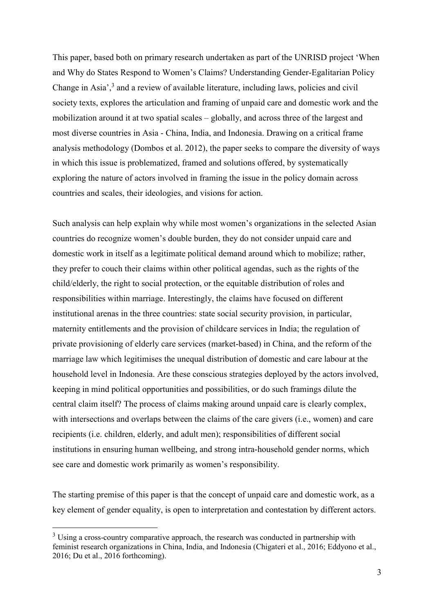This paper, based both on primary research undertaken as part of the UNRISD project 'When and Why do States Respond to Women's Claims? Understanding Gender-Egalitarian Policy Change in Asia',<sup>3</sup> and a review of available literature, including laws, policies and civil society texts, explores the articulation and framing of unpaid care and domestic work and the mobilization around it at two spatial scales – globally, and across three of the largest and most diverse countries in Asia - China, India, and Indonesia. Drawing on a critical frame analysis methodology (Dombos et al. 2012), the paper seeks to compare the diversity of ways in which this issue is problematized, framed and solutions offered, by systematically exploring the nature of actors involved in framing the issue in the policy domain across countries and scales, their ideologies, and visions for action.

Such analysis can help explain why while most women's organizations in the selected Asian countries do recognize women's double burden, they do not consider unpaid care and domestic work in itself as a legitimate political demand around which to mobilize; rather, they prefer to couch their claims within other political agendas, such as the rights of the child/elderly, the right to social protection, or the equitable distribution of roles and responsibilities within marriage. Interestingly, the claims have focused on different institutional arenas in the three countries: state social security provision, in particular, maternity entitlements and the provision of childcare services in India; the regulation of private provisioning of elderly care services (market-based) in China, and the reform of the marriage law which legitimises the unequal distribution of domestic and care labour at the household level in Indonesia. Are these conscious strategies deployed by the actors involved, keeping in mind political opportunities and possibilities, or do such framings dilute the central claim itself? The process of claims making around unpaid care is clearly complex, with intersections and overlaps between the claims of the care givers (i.e., women) and care recipients (i.e. children, elderly, and adult men); responsibilities of different social institutions in ensuring human wellbeing, and strong intra-household gender norms, which see care and domestic work primarily as women's responsibility.

The starting premise of this paper is that the concept of unpaid care and domestic work, as a key element of gender equality, is open to interpretation and contestation by different actors.

<u>.</u>

<sup>&</sup>lt;sup>3</sup> Using a cross-country comparative approach, the research was conducted in partnership with feminist research organizations in China, India, and Indonesia (Chigateri et al., 2016; Eddyono et al., 2016; Du et al., 2016 forthcoming).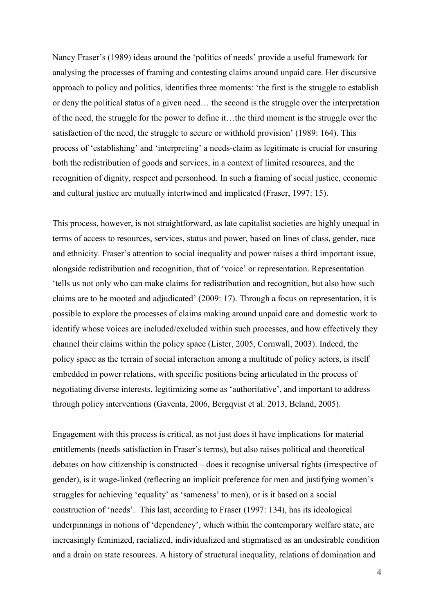Nancy Fraser's (1989) ideas around the 'politics of needs' provide a useful framework for analysing the processes of framing and contesting claims around unpaid care. Her discursive approach to policy and politics, identifies three moments: 'the first is the struggle to establish or deny the political status of a given need… the second is the struggle over the interpretation of the need, the struggle for the power to define it…the third moment is the struggle over the satisfaction of the need, the struggle to secure or withhold provision' (1989: 164). This process of 'establishing' and 'interpreting' a needs-claim as legitimate is crucial for ensuring both the redistribution of goods and services, in a context of limited resources, and the recognition of dignity, respect and personhood. In such a framing of social justice, economic and cultural justice are mutually intertwined and implicated (Fraser, 1997: 15).

This process, however, is not straightforward, as late capitalist societies are highly unequal in terms of access to resources, services, status and power, based on lines of class, gender, race and ethnicity. Fraser's attention to social inequality and power raises a third important issue, alongside redistribution and recognition, that of 'voice' or representation. Representation 'tells us not only who can make claims for redistribution and recognition, but also how such claims are to be mooted and adjudicated' (2009: 17). Through a focus on representation, it is possible to explore the processes of claims making around unpaid care and domestic work to identify whose voices are included/excluded within such processes, and how effectively they channel their claims within the policy space (Lister, 2005, Cornwall, 2003). Indeed, the policy space as the terrain of social interaction among a multitude of policy actors, is itself embedded in power relations, with specific positions being articulated in the process of negotiating diverse interests, legitimizing some as 'authoritative', and important to address through policy interventions (Gaventa, 2006, Bergqvist et al. 2013, Beland, 2005).

Engagement with this process is critical, as not just does it have implications for material entitlements (needs satisfaction in Fraser's terms), but also raises political and theoretical debates on how citizenship is constructed – does it recognise universal rights (irrespective of gender), is it wage-linked (reflecting an implicit preference for men and justifying women's struggles for achieving 'equality' as 'sameness' to men), or is it based on a social construction of 'needs'. This last, according to Fraser (1997: 134), has its ideological underpinnings in notions of 'dependency', which within the contemporary welfare state, are increasingly feminized, racialized, individualized and stigmatised as an undesirable condition and a drain on state resources. A history of structural inequality, relations of domination and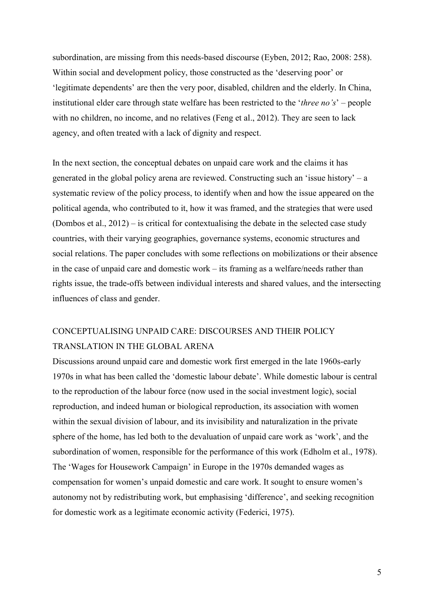subordination, are missing from this needs-based discourse (Eyben, 2012; Rao, 2008: 258). Within social and development policy, those constructed as the 'deserving poor' or 'legitimate dependents' are then the very poor, disabled, children and the elderly. In China, institutional elder care through state welfare has been restricted to the '*three no's*' – people with no children, no income, and no relatives (Feng et al., 2012). They are seen to lack agency, and often treated with a lack of dignity and respect.

In the next section, the conceptual debates on unpaid care work and the claims it has generated in the global policy arena are reviewed. Constructing such an 'issue history' – a systematic review of the policy process, to identify when and how the issue appeared on the political agenda, who contributed to it, how it was framed, and the strategies that were used (Dombos et al., 2012) – is critical for contextualising the debate in the selected case study countries, with their varying geographies, governance systems, economic structures and social relations. The paper concludes with some reflections on mobilizations or their absence in the case of unpaid care and domestic work – its framing as a welfare/needs rather than rights issue, the trade-offs between individual interests and shared values, and the intersecting influences of class and gender.

# CONCEPTUALISING UNPAID CARE: DISCOURSES AND THEIR POLICY TRANSLATION IN THE GLOBAL ARENA

Discussions around unpaid care and domestic work first emerged in the late 1960s-early 1970s in what has been called the 'domestic labour debate'. While domestic labour is central to the reproduction of the labour force (now used in the social investment logic), social reproduction, and indeed human or biological reproduction, its association with women within the sexual division of labour, and its invisibility and naturalization in the private sphere of the home, has led both to the devaluation of unpaid care work as 'work', and the subordination of women, responsible for the performance of this work (Edholm et al., 1978). The 'Wages for Housework Campaign' in Europe in the 1970s demanded wages as compensation for women's unpaid domestic and care work. It sought to ensure women's autonomy not by redistributing work, but emphasising 'difference', and seeking recognition for domestic work as a legitimate economic activity (Federici, 1975).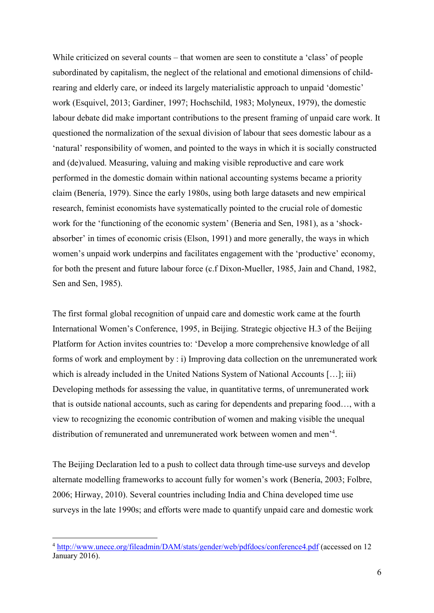While criticized on several counts – that women are seen to constitute a 'class' of people subordinated by capitalism, the neglect of the relational and emotional dimensions of childrearing and elderly care, or indeed its largely materialistic approach to unpaid 'domestic' work (Esquivel, 2013; Gardiner, 1997; Hochschild, 1983; Molyneux, 1979), the domestic labour debate did make important contributions to the present framing of unpaid care work. It questioned the normalization of the sexual division of labour that sees domestic labour as a 'natural' responsibility of women, and pointed to the ways in which it is socially constructed and (de)valued. Measuring, valuing and making visible reproductive and care work performed in the domestic domain within national accounting systems became a priority claim (Benería, 1979). Since the early 1980s, using both large datasets and new empirical research, feminist economists have systematically pointed to the crucial role of domestic work for the 'functioning of the economic system' (Beneria and Sen, 1981), as a 'shockabsorber' in times of economic crisis (Elson, 1991) and more generally, the ways in which women's unpaid work underpins and facilitates engagement with the 'productive' economy, for both the present and future labour force (c.f Dixon-Mueller, 1985, Jain and Chand, 1982, Sen and Sen, 1985).

The first formal global recognition of unpaid care and domestic work came at the fourth International Women's Conference, 1995, in Beijing. Strategic objective H.3 of the Beijing Platform for Action invites countries to: 'Develop a more comprehensive knowledge of all forms of work and employment by : i) Improving data collection on the unremunerated work which is already included in the United Nations System of National Accounts [...]; iii) Developing methods for assessing the value, in quantitative terms, of unremunerated work that is outside national accounts, such as caring for dependents and preparing food…, with a view to recognizing the economic contribution of women and making visible the unequal distribution of remunerated and unremunerated work between women and men'<sup>4</sup> .

The Beijing Declaration led to a push to collect data through time-use surveys and develop alternate modelling frameworks to account fully for women's work (Benería, 2003; Folbre, 2006; Hirway, 2010). Several countries including India and China developed time use surveys in the late 1990s; and efforts were made to quantify unpaid care and domestic work

1

<sup>4</sup> <http://www.unece.org/fileadmin/DAM/stats/gender/web/pdfdocs/conference4.pdf> (accessed on 12 January 2016).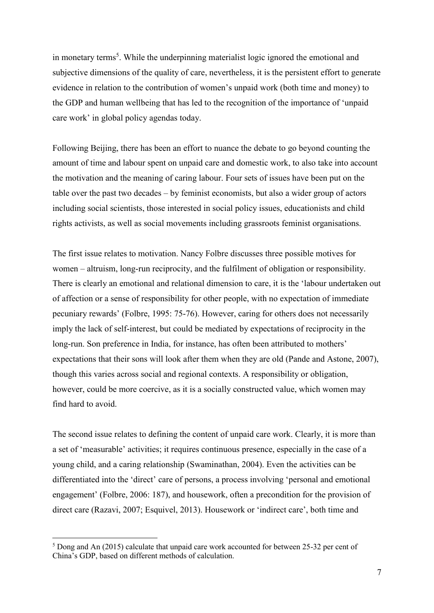in monetary terms<sup>5</sup>. While the underpinning materialist logic ignored the emotional and subjective dimensions of the quality of care, nevertheless, it is the persistent effort to generate evidence in relation to the contribution of women's unpaid work (both time and money) to the GDP and human wellbeing that has led to the recognition of the importance of 'unpaid care work' in global policy agendas today.

Following Beijing, there has been an effort to nuance the debate to go beyond counting the amount of time and labour spent on unpaid care and domestic work, to also take into account the motivation and the meaning of caring labour. Four sets of issues have been put on the table over the past two decades – by feminist economists, but also a wider group of actors including social scientists, those interested in social policy issues, educationists and child rights activists, as well as social movements including grassroots feminist organisations.

The first issue relates to motivation. Nancy Folbre discusses three possible motives for women – altruism, long-run reciprocity, and the fulfilment of obligation or responsibility. There is clearly an emotional and relational dimension to care, it is the 'labour undertaken out of affection or a sense of responsibility for other people, with no expectation of immediate pecuniary rewards' (Folbre, 1995: 75-76). However, caring for others does not necessarily imply the lack of self-interest, but could be mediated by expectations of reciprocity in the long-run. Son preference in India, for instance, has often been attributed to mothers' expectations that their sons will look after them when they are old (Pande and Astone, 2007), though this varies across social and regional contexts. A responsibility or obligation, however, could be more coercive, as it is a socially constructed value, which women may find hard to avoid.

The second issue relates to defining the content of unpaid care work. Clearly, it is more than a set of 'measurable' activities; it requires continuous presence, especially in the case of a young child, and a caring relationship (Swaminathan, 2004). Even the activities can be differentiated into the 'direct' care of persons, a process involving 'personal and emotional engagement' (Folbre, 2006: 187), and housework, often a precondition for the provision of direct care (Razavi, 2007; Esquivel, 2013). Housework or 'indirect care', both time and

1

<sup>5</sup> Dong and An (2015) calculate that unpaid care work accounted for between 25-32 per cent of China's GDP, based on different methods of calculation.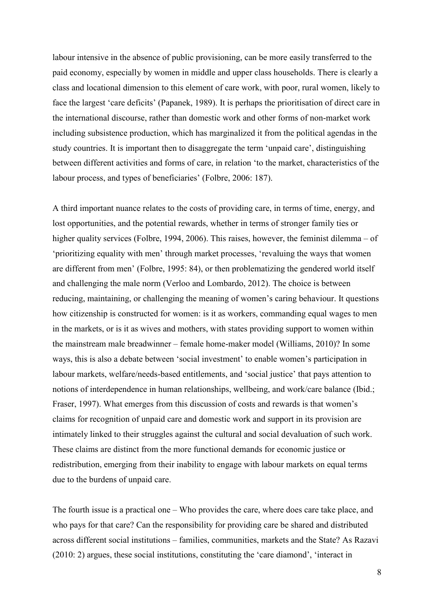labour intensive in the absence of public provisioning, can be more easily transferred to the paid economy, especially by women in middle and upper class households. There is clearly a class and locational dimension to this element of care work, with poor, rural women, likely to face the largest 'care deficits' (Papanek, 1989). It is perhaps the prioritisation of direct care in the international discourse, rather than domestic work and other forms of non-market work including subsistence production, which has marginalized it from the political agendas in the study countries. It is important then to disaggregate the term 'unpaid care', distinguishing between different activities and forms of care, in relation 'to the market, characteristics of the labour process, and types of beneficiaries' (Folbre, 2006: 187).

A third important nuance relates to the costs of providing care, in terms of time, energy, and lost opportunities, and the potential rewards, whether in terms of stronger family ties or higher quality services (Folbre, 1994, 2006). This raises, however, the feminist dilemma – of 'prioritizing equality with men' through market processes, 'revaluing the ways that women are different from men' (Folbre, 1995: 84), or then problematizing the gendered world itself and challenging the male norm (Verloo and Lombardo, 2012). The choice is between reducing, maintaining, or challenging the meaning of women's caring behaviour. It questions how citizenship is constructed for women: is it as workers, commanding equal wages to men in the markets, or is it as wives and mothers, with states providing support to women within the mainstream male breadwinner – female home-maker model (Williams, 2010)? In some ways, this is also a debate between 'social investment' to enable women's participation in labour markets, welfare/needs-based entitlements, and 'social justice' that pays attention to notions of interdependence in human relationships, wellbeing, and work/care balance (Ibid.; Fraser, 1997). What emerges from this discussion of costs and rewards is that women's claims for recognition of unpaid care and domestic work and support in its provision are intimately linked to their struggles against the cultural and social devaluation of such work. These claims are distinct from the more functional demands for economic justice or redistribution, emerging from their inability to engage with labour markets on equal terms due to the burdens of unpaid care.

The fourth issue is a practical one – Who provides the care, where does care take place, and who pays for that care? Can the responsibility for providing care be shared and distributed across different social institutions – families, communities, markets and the State? As Razavi (2010: 2) argues, these social institutions, constituting the 'care diamond', 'interact in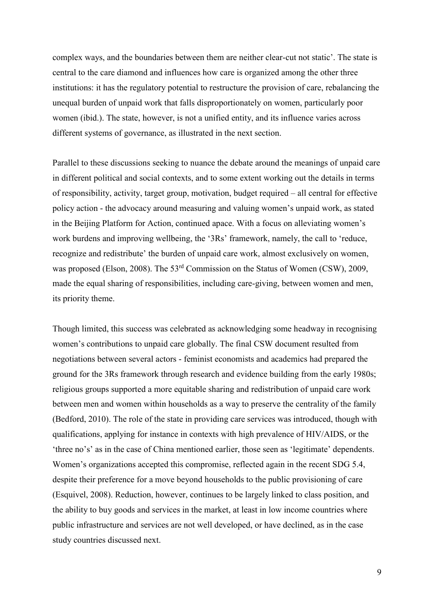complex ways, and the boundaries between them are neither clear-cut not static'. The state is central to the care diamond and influences how care is organized among the other three institutions: it has the regulatory potential to restructure the provision of care, rebalancing the unequal burden of unpaid work that falls disproportionately on women, particularly poor women (ibid.). The state, however, is not a unified entity, and its influence varies across different systems of governance, as illustrated in the next section.

Parallel to these discussions seeking to nuance the debate around the meanings of unpaid care in different political and social contexts, and to some extent working out the details in terms of responsibility, activity, target group, motivation, budget required – all central for effective policy action - the advocacy around measuring and valuing women's unpaid work, as stated in the Beijing Platform for Action, continued apace. With a focus on alleviating women's work burdens and improving wellbeing, the '3Rs' framework, namely, the call to 'reduce, recognize and redistribute' the burden of unpaid care work, almost exclusively on women, was proposed (Elson, 2008). The 53<sup>rd</sup> Commission on the Status of Women (CSW), 2009, made the equal sharing of responsibilities, including care-giving, between women and men, its priority theme.

Though limited, this success was celebrated as acknowledging some headway in recognising women's contributions to unpaid care globally. The final CSW document resulted from negotiations between several actors - feminist economists and academics had prepared the ground for the 3Rs framework through research and evidence building from the early 1980s; religious groups supported a more equitable sharing and redistribution of unpaid care work between men and women within households as a way to preserve the centrality of the family (Bedford, 2010). The role of the state in providing care services was introduced, though with qualifications, applying for instance in contexts with high prevalence of HIV/AIDS, or the 'three no's' as in the case of China mentioned earlier, those seen as 'legitimate' dependents. Women's organizations accepted this compromise, reflected again in the recent SDG 5.4, despite their preference for a move beyond households to the public provisioning of care (Esquivel, 2008). Reduction, however, continues to be largely linked to class position, and the ability to buy goods and services in the market, at least in low income countries where public infrastructure and services are not well developed, or have declined, as in the case study countries discussed next.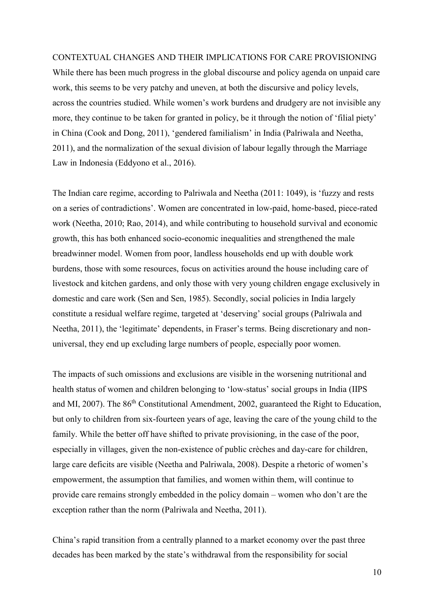#### CONTEXTUAL CHANGES AND THEIR IMPLICATIONS FOR CARE PROVISIONING

While there has been much progress in the global discourse and policy agenda on unpaid care work, this seems to be very patchy and uneven, at both the discursive and policy levels, across the countries studied. While women's work burdens and drudgery are not invisible any more, they continue to be taken for granted in policy, be it through the notion of 'filial piety' in China (Cook and Dong, 2011), 'gendered familialism' in India (Palriwala and Neetha, 2011), and the normalization of the sexual division of labour legally through the Marriage Law in Indonesia (Eddyono et al., 2016).

The Indian care regime, according to Palriwala and Neetha (2011: 1049), is 'fuzzy and rests on a series of contradictions'. Women are concentrated in low-paid, home-based, piece-rated work (Neetha, 2010; Rao, 2014), and while contributing to household survival and economic growth, this has both enhanced socio-economic inequalities and strengthened the male breadwinner model. Women from poor, landless households end up with double work burdens, those with some resources, focus on activities around the house including care of livestock and kitchen gardens, and only those with very young children engage exclusively in domestic and care work (Sen and Sen, 1985). Secondly, social policies in India largely constitute a residual welfare regime, targeted at 'deserving' social groups (Palriwala and Neetha, 2011), the 'legitimate' dependents, in Fraser's terms. Being discretionary and nonuniversal, they end up excluding large numbers of people, especially poor women.

The impacts of such omissions and exclusions are visible in the worsening nutritional and health status of women and children belonging to 'low-status' social groups in India (IIPS and MI, 2007). The 86<sup>th</sup> Constitutional Amendment, 2002, guaranteed the Right to Education, but only to children from six-fourteen years of age, leaving the care of the young child to the family. While the better off have shifted to private provisioning, in the case of the poor, especially in villages, given the non-existence of public crèches and day-care for children, large care deficits are visible (Neetha and Palriwala, 2008). Despite a rhetoric of women's empowerment, the assumption that families, and women within them, will continue to provide care remains strongly embedded in the policy domain – women who don't are the exception rather than the norm (Palriwala and Neetha, 2011).

China's rapid transition from a centrally planned to a market economy over the past three decades has been marked by the state's withdrawal from the responsibility for social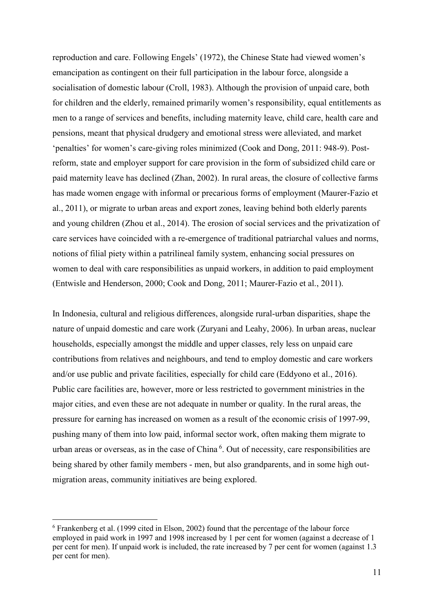reproduction and care. Following Engels' (1972), the Chinese State had viewed women's emancipation as contingent on their full participation in the labour force, alongside a socialisation of domestic labour (Croll, 1983). Although the provision of unpaid care, both for children and the elderly, remained primarily women's responsibility, equal entitlements as men to a range of services and benefits, including maternity leave, child care, health care and pensions, meant that physical drudgery and emotional stress were alleviated, and market 'penalties' for women's care-giving roles minimized (Cook and Dong, 2011: 948-9). Postreform, state and employer support for care provision in the form of subsidized child care or paid maternity leave has declined (Zhan, 2002). In rural areas, the closure of collective farms has made women engage with informal or precarious forms of employment (Maurer-Fazio et al., 2011), or migrate to urban areas and export zones, leaving behind both elderly parents and young children (Zhou et al., 2014). The erosion of social services and the privatization of care services have coincided with a re-emergence of traditional patriarchal values and norms, notions of filial piety within a patrilineal family system, enhancing social pressures on women to deal with care responsibilities as unpaid workers, in addition to paid employment (Entwisle and Henderson, 2000; Cook and Dong, 2011; Maurer-Fazio et al., 2011).

In Indonesia, cultural and religious differences, alongside rural-urban disparities, shape the nature of unpaid domestic and care work (Zuryani and Leahy, 2006). In urban areas, nuclear households, especially amongst the middle and upper classes, rely less on unpaid care contributions from relatives and neighbours, and tend to employ domestic and care workers and/or use public and private facilities, especially for child care (Eddyono et al., 2016). Public care facilities are, however, more or less restricted to government ministries in the major cities, and even these are not adequate in number or quality. In the rural areas, the pressure for earning has increased on women as a result of the economic crisis of 1997-99, pushing many of them into low paid, informal sector work, often making them migrate to urban areas or overseas, as in the case of China<sup>6</sup>. Out of necessity, care responsibilities are being shared by other family members - men, but also grandparents, and in some high outmigration areas, community initiatives are being explored.

1

<sup>6</sup> Frankenberg et al. (1999 cited in Elson, 2002) found that the percentage of the labour force employed in paid work in 1997 and 1998 increased by 1 per cent for women (against a decrease of 1 per cent for men). If unpaid work is included, the rate increased by 7 per cent for women (against 1.3 per cent for men).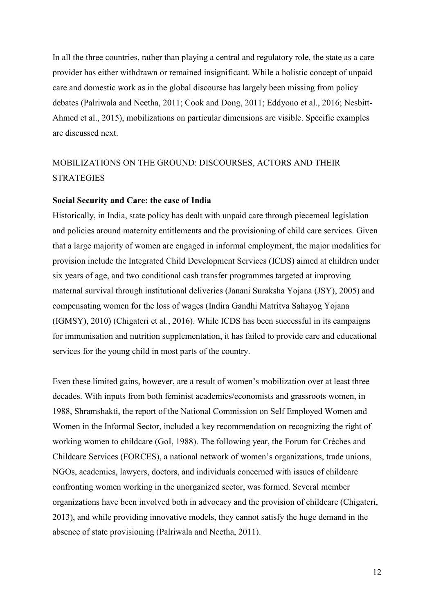In all the three countries, rather than playing a central and regulatory role, the state as a care provider has either withdrawn or remained insignificant. While a holistic concept of unpaid care and domestic work as in the global discourse has largely been missing from policy debates (Palriwala and Neetha, 2011; Cook and Dong, 2011; Eddyono et al., 2016; Nesbitt-Ahmed et al., 2015), mobilizations on particular dimensions are visible. Specific examples are discussed next.

# MOBILIZATIONS ON THE GROUND: DISCOURSES, ACTORS AND THEIR STRATEGIES

#### **Social Security and Care: the case of India**

Historically, in India, state policy has dealt with unpaid care through piecemeal legislation and policies around maternity entitlements and the provisioning of child care services. Given that a large majority of women are engaged in informal employment, the major modalities for provision include the Integrated Child Development Services (ICDS) aimed at children under six years of age, and two conditional cash transfer programmes targeted at improving maternal survival through institutional deliveries (Janani Suraksha Yojana (JSY), 2005) and compensating women for the loss of wages (Indira Gandhi Matritva Sahayog Yojana (IGMSY), 2010) (Chigateri et al., 2016). While ICDS has been successful in its campaigns for immunisation and nutrition supplementation, it has failed to provide care and educational services for the young child in most parts of the country.

Even these limited gains, however, are a result of women's mobilization over at least three decades. With inputs from both feminist academics/economists and grassroots women, in 1988, Shramshakti, the report of the National Commission on Self Employed Women and Women in the Informal Sector, included a key recommendation on recognizing the right of working women to childcare (GoI, 1988). The following year, the Forum for Crèches and Childcare Services (FORCES), a national network of women's organizations, trade unions, NGOs, academics, lawyers, doctors, and individuals concerned with issues of childcare confronting women working in the unorganized sector, was formed. Several member organizations have been involved both in advocacy and the provision of childcare (Chigateri, 2013), and while providing innovative models, they cannot satisfy the huge demand in the absence of state provisioning (Palriwala and Neetha, 2011).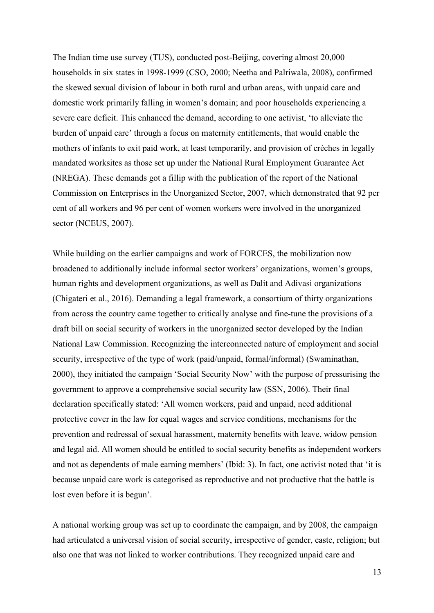The Indian time use survey (TUS), conducted post-Beijing, covering almost 20,000 households in six states in 1998-1999 (CSO, 2000; Neetha and Palriwala, 2008), confirmed the skewed sexual division of labour in both rural and urban areas, with unpaid care and domestic work primarily falling in women's domain; and poor households experiencing a severe care deficit. This enhanced the demand, according to one activist, 'to alleviate the burden of unpaid care' through a focus on maternity entitlements, that would enable the mothers of infants to exit paid work, at least temporarily, and provision of crèches in legally mandated worksites as those set up under the National Rural Employment Guarantee Act (NREGA). These demands got a fillip with the publication of the report of the National Commission on Enterprises in the Unorganized Sector, 2007, which demonstrated that 92 per cent of all workers and 96 per cent of women workers were involved in the unorganized sector (NCEUS, 2007).

While building on the earlier campaigns and work of FORCES, the mobilization now broadened to additionally include informal sector workers' organizations, women's groups, human rights and development organizations, as well as Dalit and Adivasi organizations (Chigateri et al., 2016). Demanding a legal framework, a consortium of thirty organizations from across the country came together to critically analyse and fine-tune the provisions of a draft bill on social security of workers in the unorganized sector developed by the Indian National Law Commission. Recognizing the interconnected nature of employment and social security, irrespective of the type of work (paid/unpaid, formal/informal) (Swaminathan, 2000), they initiated the campaign 'Social Security Now' with the purpose of pressurising the government to approve a comprehensive social security law (SSN, 2006). Their final declaration specifically stated: 'All women workers, paid and unpaid, need additional protective cover in the law for equal wages and service conditions, mechanisms for the prevention and redressal of sexual harassment, maternity benefits with leave, widow pension and legal aid. All women should be entitled to social security benefits as independent workers and not as dependents of male earning members' (Ibid: 3). In fact, one activist noted that 'it is because unpaid care work is categorised as reproductive and not productive that the battle is lost even before it is begun'.

A national working group was set up to coordinate the campaign, and by 2008, the campaign had articulated a universal vision of social security, irrespective of gender, caste, religion; but also one that was not linked to worker contributions. They recognized unpaid care and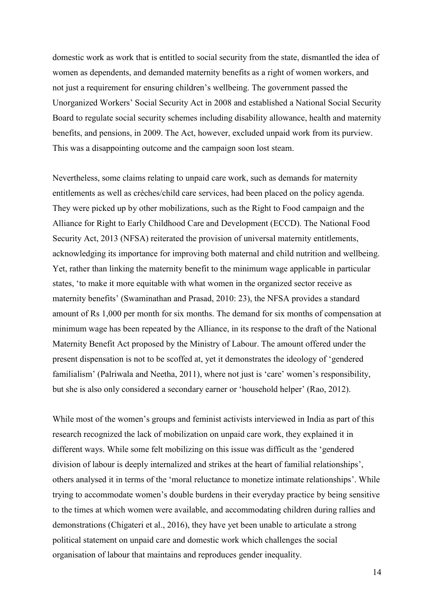domestic work as work that is entitled to social security from the state, dismantled the idea of women as dependents, and demanded maternity benefits as a right of women workers, and not just a requirement for ensuring children's wellbeing. The government passed the Unorganized Workers' Social Security Act in 2008 and established a National Social Security Board to regulate social security schemes including disability allowance, health and maternity benefits, and pensions, in 2009. The Act, however, excluded unpaid work from its purview. This was a disappointing outcome and the campaign soon lost steam.

Nevertheless, some claims relating to unpaid care work, such as demands for maternity entitlements as well as crèches/child care services, had been placed on the policy agenda. They were picked up by other mobilizations, such as the Right to Food campaign and the Alliance for Right to Early Childhood Care and Development (ECCD). The National Food Security Act, 2013 (NFSA) reiterated the provision of universal maternity entitlements, acknowledging its importance for improving both maternal and child nutrition and wellbeing. Yet, rather than linking the maternity benefit to the minimum wage applicable in particular states, 'to make it more equitable with what women in the organized sector receive as maternity benefits' (Swaminathan and Prasad, 2010: 23), the NFSA provides a standard amount of Rs 1,000 per month for six months. The demand for six months of compensation at minimum wage has been repeated by the Alliance, in its response to the draft of the National Maternity Benefit Act proposed by the Ministry of Labour. The amount offered under the present dispensation is not to be scoffed at, yet it demonstrates the ideology of 'gendered familialism' (Palriwala and Neetha, 2011), where not just is 'care' women's responsibility, but she is also only considered a secondary earner or 'household helper' (Rao, 2012).

While most of the women's groups and feminist activists interviewed in India as part of this research recognized the lack of mobilization on unpaid care work, they explained it in different ways. While some felt mobilizing on this issue was difficult as the 'gendered division of labour is deeply internalized and strikes at the heart of familial relationships', others analysed it in terms of the 'moral reluctance to monetize intimate relationships'. While trying to accommodate women's double burdens in their everyday practice by being sensitive to the times at which women were available, and accommodating children during rallies and demonstrations (Chigateri et al., 2016), they have yet been unable to articulate a strong political statement on unpaid care and domestic work which challenges the social organisation of labour that maintains and reproduces gender inequality.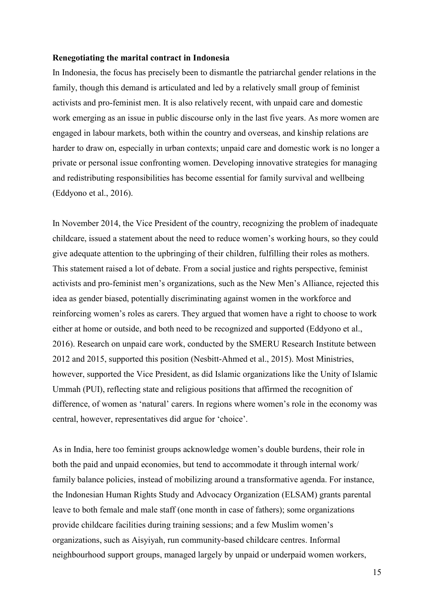#### **Renegotiating the marital contract in Indonesia**

In Indonesia, the focus has precisely been to dismantle the patriarchal gender relations in the family, though this demand is articulated and led by a relatively small group of feminist activists and pro-feminist men. It is also relatively recent, with unpaid care and domestic work emerging as an issue in public discourse only in the last five years. As more women are engaged in labour markets, both within the country and overseas, and kinship relations are harder to draw on, especially in urban contexts; unpaid care and domestic work is no longer a private or personal issue confronting women. Developing innovative strategies for managing and redistributing responsibilities has become essential for family survival and wellbeing (Eddyono et al., 2016).

In November 2014, the Vice President of the country, recognizing the problem of inadequate childcare, issued a statement about the need to reduce women's working hours, so they could give adequate attention to the upbringing of their children, fulfilling their roles as mothers. This statement raised a lot of debate. From a social justice and rights perspective, feminist activists and pro-feminist men's organizations, such as the New Men's Alliance, rejected this idea as gender biased, potentially discriminating against women in the workforce and reinforcing women's roles as carers. They argued that women have a right to choose to work either at home or outside, and both need to be recognized and supported (Eddyono et al., 2016). Research on unpaid care work, conducted by the SMERU Research Institute between 2012 and 2015, supported this position (Nesbitt-Ahmed et al., 2015). Most Ministries, however, supported the Vice President, as did Islamic organizations like the Unity of Islamic Ummah (PUI), reflecting state and religious positions that affirmed the recognition of difference, of women as 'natural' carers. In regions where women's role in the economy was central, however, representatives did argue for 'choice'.

As in India, here too feminist groups acknowledge women's double burdens, their role in both the paid and unpaid economies, but tend to accommodate it through internal work/ family balance policies, instead of mobilizing around a transformative agenda. For instance, the Indonesian Human Rights Study and Advocacy Organization (ELSAM) grants parental leave to both female and male staff (one month in case of fathers); some organizations provide childcare facilities during training sessions; and a few Muslim women's organizations, such as Aisyiyah, run community-based childcare centres. Informal neighbourhood support groups, managed largely by unpaid or underpaid women workers,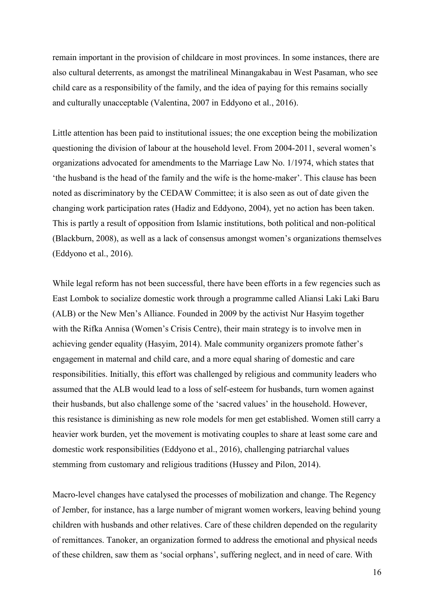remain important in the provision of childcare in most provinces. In some instances, there are also cultural deterrents, as amongst the matrilineal Minangakabau in West Pasaman, who see child care as a responsibility of the family, and the idea of paying for this remains socially and culturally unacceptable (Valentina, 2007 in Eddyono et al., 2016).

Little attention has been paid to institutional issues; the one exception being the mobilization questioning the division of labour at the household level. From 2004-2011, several women's organizations advocated for amendments to the Marriage Law No. 1/1974, which states that 'the husband is the head of the family and the wife is the home-maker'. This clause has been noted as discriminatory by the CEDAW Committee; it is also seen as out of date given the changing work participation rates (Hadiz and Eddyono, 2004), yet no action has been taken. This is partly a result of opposition from Islamic institutions, both political and non-political (Blackburn, 2008), as well as a lack of consensus amongst women's organizations themselves (Eddyono et al., 2016).

While legal reform has not been successful, there have been efforts in a few regencies such as East Lombok to socialize domestic work through a programme called Aliansi Laki Laki Baru (ALB) or the New Men's Alliance. Founded in 2009 by the activist Nur Hasyim together with the Rifka Annisa (Women's Crisis Centre), their main strategy is to involve men in achieving gender equality (Hasyim, 2014). Male community organizers promote father's engagement in maternal and child care, and a more equal sharing of domestic and care responsibilities. Initially, this effort was challenged by religious and community leaders who assumed that the ALB would lead to a loss of self-esteem for husbands, turn women against their husbands, but also challenge some of the 'sacred values' in the household. However, this resistance is diminishing as new role models for men get established. Women still carry a heavier work burden, yet the movement is motivating couples to share at least some care and domestic work responsibilities (Eddyono et al., 2016), challenging patriarchal values stemming from customary and religious traditions (Hussey and Pilon, 2014).

Macro-level changes have catalysed the processes of mobilization and change. The Regency of Jember, for instance, has a large number of migrant women workers, leaving behind young children with husbands and other relatives. Care of these children depended on the regularity of remittances. Tanoker, an organization formed to address the emotional and physical needs of these children, saw them as 'social orphans', suffering neglect, and in need of care. With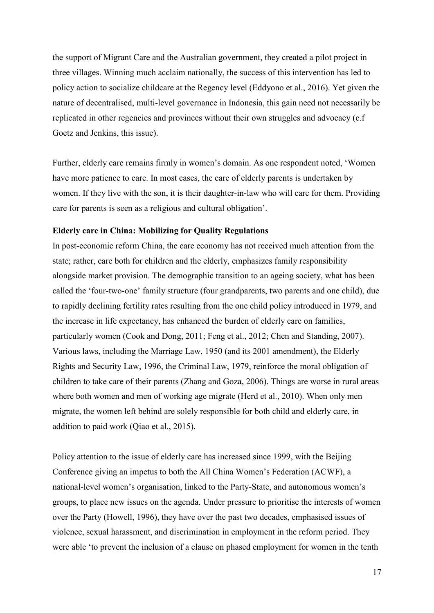the support of Migrant Care and the Australian government, they created a pilot project in three villages. Winning much acclaim nationally, the success of this intervention has led to policy action to socialize childcare at the Regency level (Eddyono et al., 2016). Yet given the nature of decentralised, multi-level governance in Indonesia, this gain need not necessarily be replicated in other regencies and provinces without their own struggles and advocacy (c.f Goetz and Jenkins, this issue).

Further, elderly care remains firmly in women's domain. As one respondent noted, 'Women have more patience to care. In most cases, the care of elderly parents is undertaken by women. If they live with the son, it is their daughter-in-law who will care for them. Providing care for parents is seen as a religious and cultural obligation'.

#### **Elderly care in China: Mobilizing for Quality Regulations**

In post-economic reform China, the care economy has not received much attention from the state; rather, care both for children and the elderly, emphasizes family responsibility alongside market provision. The demographic transition to an ageing society, what has been called the 'four-two-one' family structure (four grandparents, two parents and one child), due to rapidly declining fertility rates resulting from the one child policy introduced in 1979, and the increase in life expectancy, has enhanced the burden of elderly care on families, particularly women (Cook and Dong, 2011; Feng et al., 2012; Chen and Standing, 2007). Various laws, including the Marriage Law, 1950 (and its 2001 amendment), the Elderly Rights and Security Law, 1996, the Criminal Law, 1979, reinforce the moral obligation of children to take care of their parents (Zhang and Goza, 2006). Things are worse in rural areas where both women and men of working age migrate (Herd et al., 2010). When only men migrate, the women left behind are solely responsible for both child and elderly care, in addition to paid work (Qiao et al., 2015).

Policy attention to the issue of elderly care has increased since 1999, with the Beijing Conference giving an impetus to both the All China Women's Federation (ACWF), a national-level women's organisation, linked to the Party-State, and autonomous women's groups, to place new issues on the agenda. Under pressure to prioritise the interests of women over the Party (Howell, 1996), they have over the past two decades, emphasised issues of violence, sexual harassment, and discrimination in employment in the reform period. They were able 'to prevent the inclusion of a clause on phased employment for women in the tenth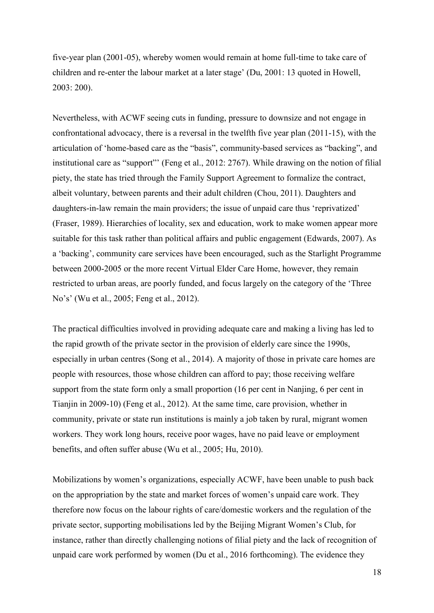five-year plan (2001-05), whereby women would remain at home full-time to take care of children and re-enter the labour market at a later stage' (Du, 2001: 13 quoted in Howell, 2003: 200).

Nevertheless, with ACWF seeing cuts in funding, pressure to downsize and not engage in confrontational advocacy, there is a reversal in the twelfth five year plan (2011-15), with the articulation of 'home-based care as the "basis", community-based services as "backing", and institutional care as "support"' (Feng et al., 2012: 2767). While drawing on the notion of filial piety, the state has tried through the Family Support Agreement to formalize the contract, albeit voluntary, between parents and their adult children (Chou, 2011). Daughters and daughters-in-law remain the main providers; the issue of unpaid care thus 'reprivatized' (Fraser, 1989). Hierarchies of locality, sex and education, work to make women appear more suitable for this task rather than political affairs and public engagement (Edwards, 2007). As a 'backing', community care services have been encouraged, such as the Starlight Programme between 2000-2005 or the more recent Virtual Elder Care Home, however, they remain restricted to urban areas, are poorly funded, and focus largely on the category of the 'Three No's' (Wu et al., 2005; Feng et al., 2012).

The practical difficulties involved in providing adequate care and making a living has led to the rapid growth of the private sector in the provision of elderly care since the 1990s, especially in urban centres (Song et al., 2014). A majority of those in private care homes are people with resources, those whose children can afford to pay; those receiving welfare support from the state form only a small proportion (16 per cent in Nanjing, 6 per cent in Tianjin in 2009-10) (Feng et al., 2012). At the same time, care provision, whether in community, private or state run institutions is mainly a job taken by rural, migrant women workers. They work long hours, receive poor wages, have no paid leave or employment benefits, and often suffer abuse (Wu et al., 2005; Hu, 2010).

Mobilizations by women's organizations, especially ACWF, have been unable to push back on the appropriation by the state and market forces of women's unpaid care work. They therefore now focus on the labour rights of care/domestic workers and the regulation of the private sector, supporting mobilisations led by the Beijing Migrant Women's Club, for instance, rather than directly challenging notions of filial piety and the lack of recognition of unpaid care work performed by women (Du et al., 2016 forthcoming). The evidence they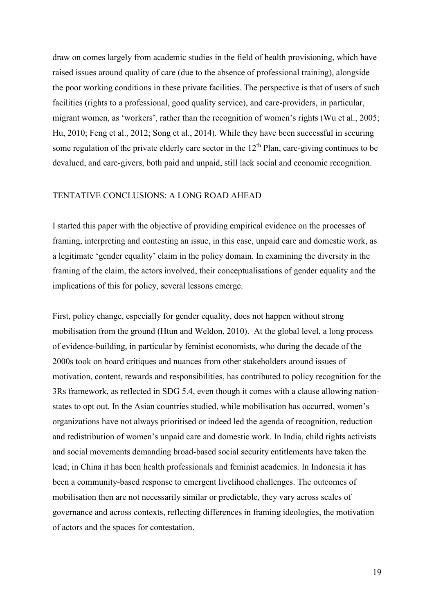draw on comes largely from academic studies in the field of health provisioning, which have raised issues around quality of care (due to the absence of professional training), alongside the poor working conditions in these private facilities. The perspective is that of users of such facilities (rights to a professional, good quality service), and care-providers, in particular, migrant women, as 'workers', rather than the recognition of women's rights (Wu et al., 2005; Hu, 2010; Feng et al., 2012; Song et al., 2014). While they have been successful in securing some regulation of the private elderly care sector in the  $12<sup>th</sup>$  Plan, care-giving continues to be devalued, and care-givers, both paid and unpaid, still lack social and economic recognition.

### TENTATIVE CONCLUSIONS: A LONG ROAD AHEAD

I started this paper with the objective of providing empirical evidence on the processes of framing, interpreting and contesting an issue, in this case, unpaid care and domestic work, as a legitimate 'gender equality' claim in the policy domain. In examining the diversity in the framing of the claim, the actors involved, their conceptualisations of gender equality and the implications of this for policy, several lessons emerge.

First, policy change, especially for gender equality, does not happen without strong mobilisation from the ground (Htun and Weldon, 2010). At the global level, a long process of evidence-building, in particular by feminist economists, who during the decade of the 2000s took on board critiques and nuances from other stakeholders around issues of motivation, content, rewards and responsibilities, has contributed to policy recognition for the 3Rs framework, as reflected in SDG 5.4, even though it comes with a clause allowing nationstates to opt out. In the Asian countries studied, while mobilisation has occurred, women's organizations have not always prioritised or indeed led the agenda of recognition, reduction and redistribution of women's unpaid care and domestic work. In India, child rights activists and social movements demanding broad-based social security entitlements have taken the lead; in China it has been health professionals and feminist academics. In Indonesia it has been a community-based response to emergent livelihood challenges. The outcomes of mobilisation then are not necessarily similar or predictable, they vary across scales of governance and across contexts, reflecting differences in framing ideologies, the motivation of actors and the spaces for contestation.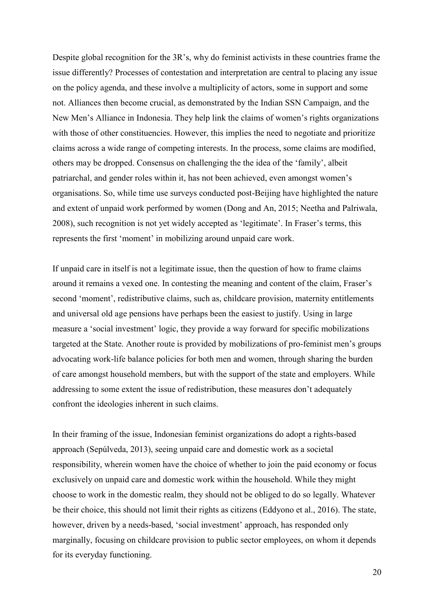Despite global recognition for the 3R's, why do feminist activists in these countries frame the issue differently? Processes of contestation and interpretation are central to placing any issue on the policy agenda, and these involve a multiplicity of actors, some in support and some not. Alliances then become crucial, as demonstrated by the Indian SSN Campaign, and the New Men's Alliance in Indonesia. They help link the claims of women's rights organizations with those of other constituencies. However, this implies the need to negotiate and prioritize claims across a wide range of competing interests. In the process, some claims are modified, others may be dropped. Consensus on challenging the the idea of the 'family', albeit patriarchal, and gender roles within it, has not been achieved, even amongst women's organisations. So, while time use surveys conducted post-Beijing have highlighted the nature and extent of unpaid work performed by women (Dong and An, 2015; Neetha and Palriwala, 2008), such recognition is not yet widely accepted as 'legitimate'. In Fraser's terms, this represents the first 'moment' in mobilizing around unpaid care work.

If unpaid care in itself is not a legitimate issue, then the question of how to frame claims around it remains a vexed one. In contesting the meaning and content of the claim, Fraser's second 'moment', redistributive claims, such as, childcare provision, maternity entitlements and universal old age pensions have perhaps been the easiest to justify. Using in large measure a 'social investment' logic, they provide a way forward for specific mobilizations targeted at the State. Another route is provided by mobilizations of pro-feminist men's groups advocating work-life balance policies for both men and women, through sharing the burden of care amongst household members, but with the support of the state and employers. While addressing to some extent the issue of redistribution, these measures don't adequately confront the ideologies inherent in such claims.

In their framing of the issue, Indonesian feminist organizations do adopt a rights-based approach (Sepúlveda, 2013), seeing unpaid care and domestic work as a societal responsibility, wherein women have the choice of whether to join the paid economy or focus exclusively on unpaid care and domestic work within the household. While they might choose to work in the domestic realm, they should not be obliged to do so legally. Whatever be their choice, this should not limit their rights as citizens (Eddyono et al., 2016). The state, however, driven by a needs-based, 'social investment' approach, has responded only marginally, focusing on childcare provision to public sector employees, on whom it depends for its everyday functioning.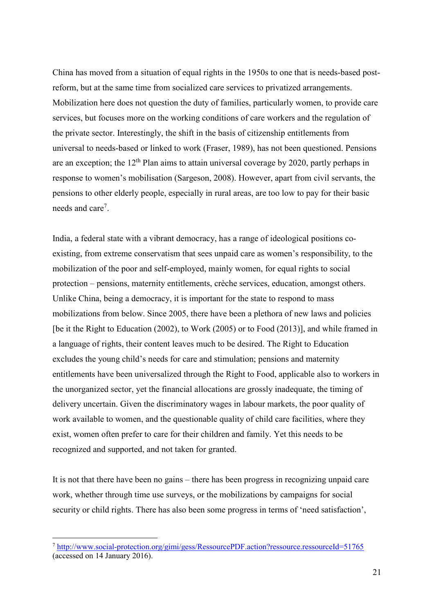China has moved from a situation of equal rights in the 1950s to one that is needs-based postreform, but at the same time from socialized care services to privatized arrangements. Mobilization here does not question the duty of families, particularly women, to provide care services, but focuses more on the working conditions of care workers and the regulation of the private sector. Interestingly, the shift in the basis of citizenship entitlements from universal to needs-based or linked to work (Fraser, 1989), has not been questioned. Pensions are an exception; the  $12<sup>th</sup>$  Plan aims to attain universal coverage by 2020, partly perhaps in response to women's mobilisation (Sargeson, 2008). However, apart from civil servants, the pensions to other elderly people, especially in rural areas, are too low to pay for their basic needs and care<sup>7</sup>.

India, a federal state with a vibrant democracy, has a range of ideological positions coexisting, from extreme conservatism that sees unpaid care as women's responsibility, to the mobilization of the poor and self-employed, mainly women, for equal rights to social protection – pensions, maternity entitlements, crèche services, education, amongst others. Unlike China, being a democracy, it is important for the state to respond to mass mobilizations from below. Since 2005, there have been a plethora of new laws and policies [be it the Right to Education (2002), to Work (2005) or to Food (2013)], and while framed in a language of rights, their content leaves much to be desired. The Right to Education excludes the young child's needs for care and stimulation; pensions and maternity entitlements have been universalized through the Right to Food, applicable also to workers in the unorganized sector, yet the financial allocations are grossly inadequate, the timing of delivery uncertain. Given the discriminatory wages in labour markets, the poor quality of work available to women, and the questionable quality of child care facilities, where they exist, women often prefer to care for their children and family. Yet this needs to be recognized and supported, and not taken for granted.

It is not that there have been no gains – there has been progress in recognizing unpaid care work, whether through time use surveys, or the mobilizations by campaigns for social security or child rights. There has also been some progress in terms of 'need satisfaction',

1

<sup>7</sup> <http://www.social-protection.org/gimi/gess/RessourcePDF.action?ressource.ressourceId=51765> (accessed on 14 January 2016).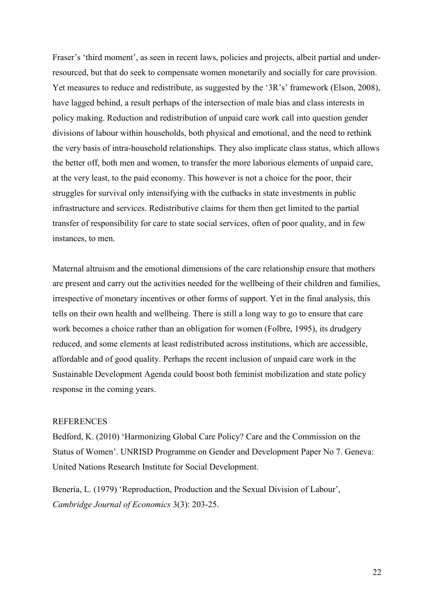Fraser's 'third moment', as seen in recent laws, policies and projects, albeit partial and underresourced, but that do seek to compensate women monetarily and socially for care provision. Yet measures to reduce and redistribute, as suggested by the '3R's' framework (Elson, 2008), have lagged behind, a result perhaps of the intersection of male bias and class interests in policy making. Reduction and redistribution of unpaid care work call into question gender divisions of labour within households, both physical and emotional, and the need to rethink the very basis of intra-household relationships. They also implicate class status, which allows the better off, both men and women, to transfer the more laborious elements of unpaid care, at the very least, to the paid economy. This however is not a choice for the poor, their struggles for survival only intensifying with the cutbacks in state investments in public infrastructure and services. Redistributive claims for them then get limited to the partial transfer of responsibility for care to state social services, often of poor quality, and in few instances, to men.

Maternal altruism and the emotional dimensions of the care relationship ensure that mothers are present and carry out the activities needed for the wellbeing of their children and families, irrespective of monetary incentives or other forms of support. Yet in the final analysis, this tells on their own health and wellbeing. There is still a long way to go to ensure that care work becomes a choice rather than an obligation for women (Folbre, 1995), its drudgery reduced, and some elements at least redistributed across institutions, which are accessible, affordable and of good quality. Perhaps the recent inclusion of unpaid care work in the Sustainable Development Agenda could boost both feminist mobilization and state policy response in the coming years.

#### REFERENCES

Bedford, K. (2010) 'Harmonizing Global Care Policy? Care and the Commission on the Status of Women'. UNRISD Programme on Gender and Development Paper No 7. Geneva: United Nations Research Institute for Social Development.

Benería, L. (1979) 'Reproduction, Production and the Sexual Division of Labour', *Cambridge Journal of Economics* 3(3): 203-25.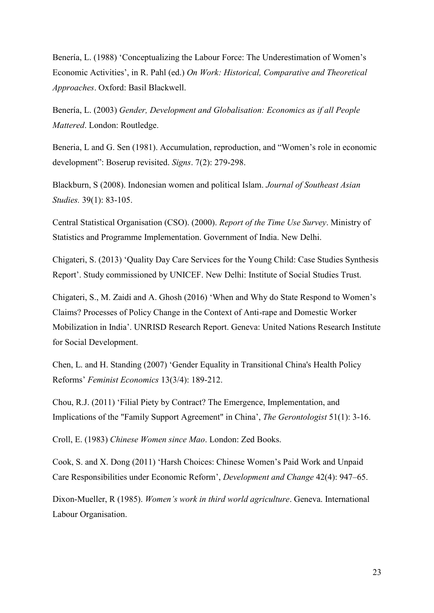Benería, L. (1988) 'Conceptualizing the Labour Force: The Underestimation of Women's Economic Activities', in R. Pahl (ed.) *On Work: Historical, Comparative and Theoretical Approaches*. Oxford: Basil Blackwell.

Benería, L. (2003) *Gender, Development and Globalisation: Economics as if all People Mattered*. London: Routledge.

Beneria, L and G. Sen (1981). Accumulation, reproduction, and "Women's role in economic development": Boserup revisited. *Signs*. 7(2): 279-298.

Blackburn, S (2008). Indonesian women and political Islam. *Journal of Southeast Asian Studies.* 39(1): 83-105.

Central Statistical Organisation (CSO). (2000). *Report of the Time Use Survey*. Ministry of Statistics and Programme Implementation. Government of India. New Delhi.

Chigateri, S. (2013) 'Quality Day Care Services for the Young Child: Case Studies Synthesis Report'. Study commissioned by UNICEF. New Delhi: Institute of Social Studies Trust.

Chigateri, S., M. Zaidi and A. Ghosh (2016) 'When and Why do State Respond to Women's Claims? Processes of Policy Change in the Context of Anti-rape and Domestic Worker Mobilization in India'. UNRISD Research Report. Geneva: United Nations Research Institute for Social Development.

Chen, L. and H. Standing (2007) 'Gender Equality in Transitional China's Health Policy Reforms' *Feminist Economics* 13(3/4): 189-212.

Chou, R.J. (2011) 'Filial Piety by Contract? The Emergence, Implementation, and Implications of the "Family Support Agreement" in China', *The Gerontologist* 51(1): 3-16.

Croll, E. (1983) *Chinese Women since Mao*. London: Zed Books.

Cook, S. and X. Dong (2011) 'Harsh Choices: Chinese Women's Paid Work and Unpaid Care Responsibilities under Economic Reform', *Development and Change* 42(4): 947–65.

Dixon-Mueller, R (1985). *Women's work in third world agriculture*. Geneva. International Labour Organisation.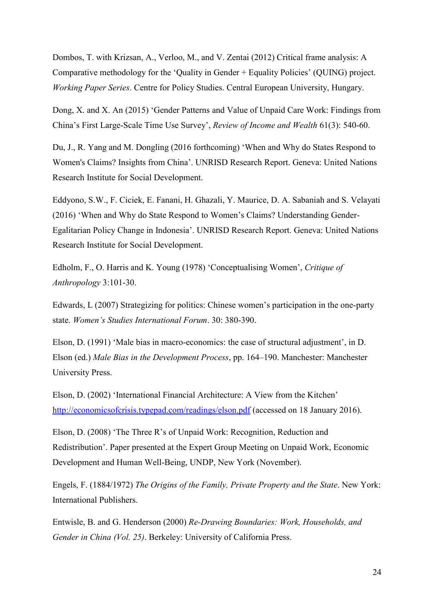Dombos, T. with Krizsan, A., Verloo, M., and V. Zentai (2012) Critical frame analysis: A Comparative methodology for the 'Quality in Gender + Equality Policies' (QUING) project. *Working Paper Series*. Centre for Policy Studies. Central European University, Hungary.

Dong, X. and X. An (2015) 'Gender Patterns and Value of Unpaid Care Work: Findings from China's First Large-Scale Time Use Survey', *Review of Income and Wealth* 61(3): 540-60.

Du, J., R. Yang and M. Dongling (2016 forthcoming) 'When and Why do States Respond to Women's Claims? Insights from China'. UNRISD Research Report. Geneva: United Nations Research Institute for Social Development.

Eddyono, S.W., F. Ciciek, E. Fanani, H. Ghazali, Y. Maurice, D. A. Sabaniah and S. Velayati (2016) 'When and Why do State Respond to Women's Claims? Understanding Gender-Egalitarian Policy Change in Indonesia'. UNRISD Research Report. Geneva: United Nations Research Institute for Social Development.

Edholm, F., O. Harris and K. Young (1978) 'Conceptualising Women', *Critique of Anthropology* 3:101-30.

Edwards, L (2007) Strategizing for politics: Chinese women's participation in the one-party state. *Women's Studies International Forum*. 30: 380-390.

Elson, D. (1991) 'Male bias in macro-economics: the case of structural adjustment', in D. Elson (ed.) *Male Bias in the Development Process*, pp. 164–190. Manchester: Manchester University Press.

Elson, D. (2002) 'International Financial Architecture: A View from the Kitchen' <http://economicsofcrisis.typepad.com/readings/elson.pdf> (accessed on 18 January 2016).

Elson, D. (2008) 'The Three R's of Unpaid Work: Recognition, Reduction and Redistribution'. Paper presented at the Expert Group Meeting on Unpaid Work, Economic Development and Human Well-Being, UNDP, New York (November).

Engels, F. (1884/1972) *The Origins of the Family, Private Property and the State*. New York: International Publishers.

Entwisle, B. and G. Henderson (2000) *Re-Drawing Boundaries: Work, Households, and Gender in China (Vol. 25)*. Berkeley: University of California Press.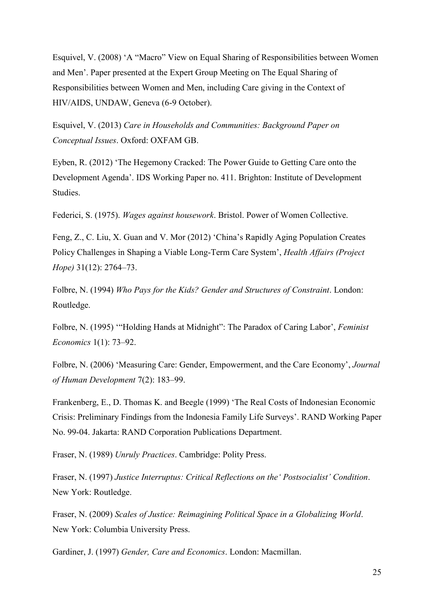Esquivel, V. (2008) 'A "Macro" View on Equal Sharing of Responsibilities between Women and Men'. Paper presented at the Expert Group Meeting on The Equal Sharing of Responsibilities between Women and Men, including Care giving in the Context of HIV/AIDS, UNDAW, Geneva (6-9 October).

Esquivel, V. (2013) *Care in Households and Communities: Background Paper on Conceptual Issues*. Oxford: OXFAM GB.

Eyben, R. (2012) 'The Hegemony Cracked: The Power Guide to Getting Care onto the Development Agenda'. IDS Working Paper no. 411. Brighton: Institute of Development Studies.

Federici, S. (1975). *Wages against housework*. Bristol. Power of Women Collective.

Feng, Z., C. Liu, X. Guan and V. Mor (2012) 'China's Rapidly Aging Population Creates Policy Challenges in Shaping a Viable Long-Term Care System', *Health Affairs (Project Hope)* 31(12): 2764–73.

Folbre, N. (1994) *Who Pays for the Kids? Gender and Structures of Constraint*. London: Routledge.

Folbre, N. (1995) '"Holding Hands at Midnight": The Paradox of Caring Labor', *Feminist Economics* 1(1): 73–92.

Folbre, N. (2006) 'Measuring Care: Gender, Empowerment, and the Care Economy', *Journal of Human Development* 7(2): 183–99.

Frankenberg, E., D. Thomas K. and Beegle (1999) 'The Real Costs of Indonesian Economic Crisis: Preliminary Findings from the Indonesia Family Life Surveys'. RAND Working Paper No. 99-04. Jakarta: RAND Corporation Publications Department.

Fraser, N. (1989) *Unruly Practices*. Cambridge: Polity Press.

Fraser, N. (1997) *Justice Interruptus: Critical Reflections on the' Postsocialist' Condition*. New York: Routledge.

Fraser, N. (2009) *Scales of Justice: Reimagining Political Space in a Globalizing World*. New York: Columbia University Press.

Gardiner, J. (1997) *Gender, Care and Economics*. London: Macmillan.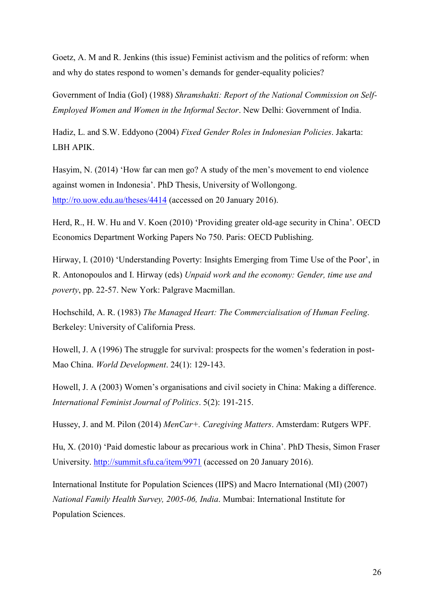Goetz, A. M and R. Jenkins (this issue) Feminist activism and the politics of reform: when and why do states respond to women's demands for gender-equality policies?

Government of India (GoI) (1988) *Shramshakti: Report of the National Commission on Self-Employed Women and Women in the Informal Sector*. New Delhi: Government of India.

Hadiz, L. and S.W. Eddyono (2004) *Fixed Gender Roles in Indonesian Policies*. Jakarta: LBH APIK.

Hasyim, N. (2014) 'How far can men go? A study of the men's movement to end violence against women in Indonesia'. PhD Thesis, University of Wollongong. <http://ro.uow.edu.au/theses/4414> (accessed on 20 January 2016).

Herd, R., H. W. Hu and V. Koen (2010) 'Providing greater old-age security in China'. OECD Economics Department Working Papers No 750. Paris: OECD Publishing.

Hirway, I. (2010) 'Understanding Poverty: Insights Emerging from Time Use of the Poor', in R. Antonopoulos and I. Hirway (eds) *Unpaid work and the economy: Gender, time use and poverty*, pp. 22-57. New York: Palgrave Macmillan.

Hochschild, A. R. (1983) *The Managed Heart: The Commercialisation of Human Feeling*. Berkeley: University of California Press.

Howell, J. A (1996) The struggle for survival: prospects for the women's federation in post-Mao China. *World Development*. 24(1): 129-143.

Howell, J. A (2003) Women's organisations and civil society in China: Making a difference. *International Feminist Journal of Politics*. 5(2): 191-215.

Hussey, J. and M. Pilon (2014) *MenCar+. Caregiving Matters*. Amsterdam: Rutgers WPF.

Hu, X. (2010) 'Paid domestic labour as precarious work in China'. PhD Thesis, Simon Fraser University.<http://summit.sfu.ca/item/9971> (accessed on 20 January 2016).

International Institute for Population Sciences (IIPS) and Macro International (MI) (2007) *National Family Health Survey, 2005-06, India*. Mumbai: International Institute for Population Sciences.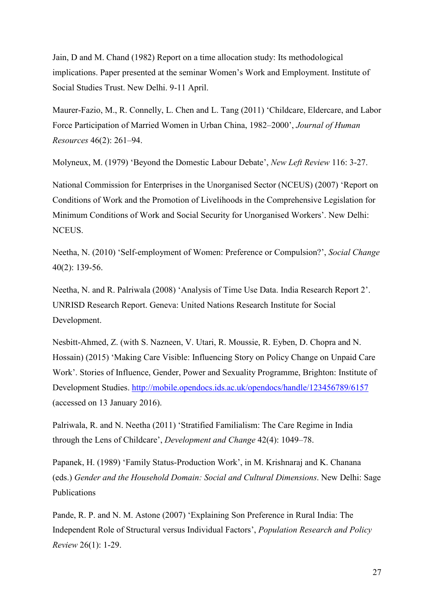Jain, D and M. Chand (1982) Report on a time allocation study: Its methodological implications. Paper presented at the seminar Women's Work and Employment. Institute of Social Studies Trust. New Delhi. 9-11 April.

Maurer-Fazio, M., R. Connelly, L. Chen and L. Tang (2011) 'Childcare, Eldercare, and Labor Force Participation of Married Women in Urban China, 1982–2000', *Journal of Human Resources* 46(2): 261–94.

Molyneux, M. (1979) 'Beyond the Domestic Labour Debate', *New Left Review* 116: 3-27.

National Commission for Enterprises in the Unorganised Sector (NCEUS) (2007) 'Report on Conditions of Work and the Promotion of Livelihoods in the Comprehensive Legislation for Minimum Conditions of Work and Social Security for Unorganised Workers'. New Delhi: NCEUS.

Neetha, N. (2010) 'Self-employment of Women: Preference or Compulsion?', *Social Change* 40(2): 139-56.

Neetha, N. and R. Palriwala (2008) 'Analysis of Time Use Data. India Research Report 2'. UNRISD Research Report. Geneva: United Nations Research Institute for Social Development.

Nesbitt-Ahmed, Z. (with S. Nazneen, V. Utari, R. Moussie, R. Eyben, D. Chopra and N. Hossain) (2015) 'Making Care Visible: Influencing Story on Policy Change on Unpaid Care Work'. Stories of Influence, Gender, Power and Sexuality Programme, Brighton: Institute of Development Studies.<http://mobile.opendocs.ids.ac.uk/opendocs/handle/123456789/6157> (accessed on 13 January 2016).

Palriwala, R. and N. Neetha (2011) 'Stratified Familialism: The Care Regime in India through the Lens of Childcare', *Development and Change* 42(4): 1049–78.

Papanek, H. (1989) 'Family Status-Production Work', in M. Krishnaraj and K. Chanana (eds.) *Gender and the Household Domain: Social and Cultural Dimensions*. New Delhi: Sage Publications

Pande, R. P. and N. M. Astone (2007) 'Explaining Son Preference in Rural India: The Independent Role of Structural versus Individual Factors', *Population Research and Policy Review* 26(1): 1-29.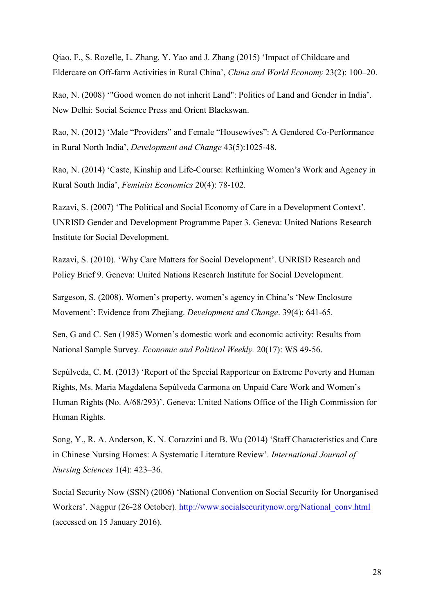Qiao, F., S. Rozelle, L. Zhang, Y. Yao and J. Zhang (2015) 'Impact of Childcare and Eldercare on Off-farm Activities in Rural China', *China and World Economy* 23(2): 100–20.

Rao, N. (2008) '"Good women do not inherit Land": Politics of Land and Gender in India'. New Delhi: Social Science Press and Orient Blackswan.

Rao, N. (2012) 'Male "Providers" and Female "Housewives": A Gendered Co-Performance in Rural North India', *Development and Change* 43(5):1025-48.

Rao, N. (2014) 'Caste, Kinship and Life-Course: Rethinking Women's Work and Agency in Rural South India', *Feminist Economics* 20(4): 78-102.

Razavi, S. (2007) 'The Political and Social Economy of Care in a Development Context'. UNRISD Gender and Development Programme Paper 3. Geneva: United Nations Research Institute for Social Development.

Razavi, S. (2010). 'Why Care Matters for Social Development'. UNRISD Research and Policy Brief 9. Geneva: United Nations Research Institute for Social Development.

Sargeson, S. (2008). Women's property, women's agency in China's 'New Enclosure Movement': Evidence from Zhejiang. *Development and Change*. 39(4): 641-65.

Sen, G and C. Sen (1985) Women's domestic work and economic activity: Results from National Sample Survey. *Economic and Political Weekly.* 20(17): WS 49-56.

Sepúlveda, C. M. (2013) 'Report of the Special Rapporteur on Extreme Poverty and Human Rights, Ms. Maria Magdalena Sepúlveda Carmona on Unpaid Care Work and Women's Human Rights (No. A/68/293)'. Geneva: United Nations Office of the High Commission for Human Rights.

Song, Y., R. A. Anderson, K. N. Corazzini and B. Wu (2014) 'Staff Characteristics and Care in Chinese Nursing Homes: A Systematic Literature Review'. *International Journal of Nursing Sciences* 1(4): 423–36.

Social Security Now (SSN) (2006) 'National Convention on Social Security for Unorganised Workers'. Nagpur (26-28 October). [http://www.socialsecuritynow.org/National\\_conv.html](http://www.socialsecuritynow.org/National_conv.html) (accessed on 15 January 2016).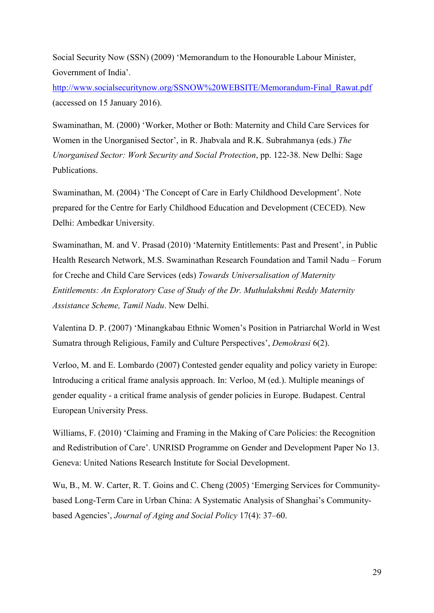Social Security Now (SSN) (2009) 'Memorandum to the Honourable Labour Minister, Government of India'.

[http://www.socialsecuritynow.org/SSNOW%20WEBSITE/Memorandum-Final\\_Rawat.pdf](http://www.socialsecuritynow.org/SSNOW%20WEBSITE/Memorandum-Final_Rawat.pdf) (accessed on 15 January 2016).

Swaminathan, M. (2000) 'Worker, Mother or Both: Maternity and Child Care Services for Women in the Unorganised Sector', in R. Jhabvala and R.K. Subrahmanya (eds.) *The Unorganised Sector: Work Security and Social Protection*, pp. 122-38. New Delhi: Sage Publications.

Swaminathan, M. (2004) 'The Concept of Care in Early Childhood Development'. Note prepared for the Centre for Early Childhood Education and Development (CECED). New Delhi: Ambedkar University.

Swaminathan, M. and V. Prasad (2010) 'Maternity Entitlements: Past and Present', in Public Health Research Network, M.S. Swaminathan Research Foundation and Tamil Nadu – Forum for Creche and Child Care Services (eds) *Towards Universalisation of Maternity Entitlements: An Exploratory Case of Study of the Dr. Muthulakshmi Reddy Maternity Assistance Scheme, Tamil Nadu*. New Delhi.

Valentina D. P. (2007) 'Minangkabau Ethnic Women's Position in Patriarchal World in West Sumatra through Religious, Family and Culture Perspectives', *Demokrasi* 6(2).

Verloo, M. and E. Lombardo (2007) Contested gender equality and policy variety in Europe: Introducing a critical frame analysis approach. In: Verloo, M (ed.). Multiple meanings of gender equality - a critical frame analysis of gender policies in Europe. Budapest. Central European University Press.

Williams, F. (2010) 'Claiming and Framing in the Making of Care Policies: the Recognition and Redistribution of Care'. UNRISD Programme on Gender and Development Paper No 13. Geneva: United Nations Research Institute for Social Development.

Wu, B., M. W. Carter, R. T. Goins and C. Cheng (2005) 'Emerging Services for Communitybased Long-Term Care in Urban China: A Systematic Analysis of Shanghai's Communitybased Agencies', *Journal of Aging and Social Policy* 17(4): 37–60.